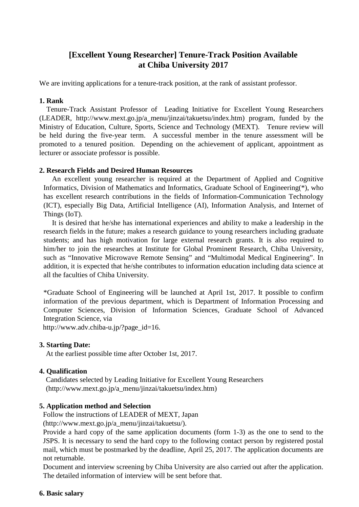# **[Excellent Young Researcher] Tenure-Track Position Available at Chiba University 2017**

We are inviting applications for a tenure-track position, at the rank of assistant professor.

## **1. Rank**

Tenure-Track Assistant Professor of Leading Initiative for Excellent Young Researchers (LEADER, http://www.mext.go.jp/a\_menu/jinzai/takuetsu/index.htm) program, funded by the Ministry of Education, Culture, Sports, Science and Technology (MEXT). Tenure review will be held during the five-year term. A successful member in the tenure assessment will be promoted to a tenured position. Depending on the achievement of applicant, appointment as lecturer or associate professor is possible.

## **2. Research Fields and Desired Human Resources**

An excellent young researcher is required at the Department of Applied and Cognitive Informatics, Division of Mathematics and Informatics, Graduate School of Engineering(\*), who has excellent research contributions in the fields of Information-Communication Technology (ICT), especially Big Data, Artificial Intelligence (AI), Information Analysis, and Internet of Things (IoT).

It is desired that he/she has international experiences and ability to make a leadership in the research fields in the future; makes a research guidance to young researchers including graduate students; and has high motivation for large external research grants. It is also required to him/her to join the researches at Institute for Global Prominent Research, Chiba University, such as "Innovative Microwave Remote Sensing" and "Multimodal Medical Engineering". In addition, it is expected that he/she contributes to information education including data science at all the faculties of Chiba University.

\*Graduate School of Engineering will be launched at April 1st, 2017. It possible to confirm information of the previous department, which is Department of Information Processing and Computer Sciences, Division of Information Sciences, Graduate School of Advanced Integration Science, via

http://www.adv.chiba-u.jp/?page\_id=16.

## **3. Starting Date:**

At the earliest possible time after October 1st, 2017.

## **4. Qualification**

Candidates selected by Leading Initiative for Excellent Young Researchers (http://www.mext.go.jp/a\_menu/jinzai/takuetsu/index.htm)

## **5. Application method and Selection**

Follow the instructions of LEADER of MEXT, Japan

(http://www.mext.go.jp/a\_menu/jinzai/takuetsu/).

Provide a hard copy of the same application documents (form 1-3) as the one to send to the JSPS. It is necessary to send the hard copy to the following contact person by registered postal mail, which must be postmarked by the deadline, April 25, 2017. The application documents are not returnable.

Document and interview screening by Chiba University are also carried out after the application. The detailed information of interview will be sent before that.

## **6. Basic salary**